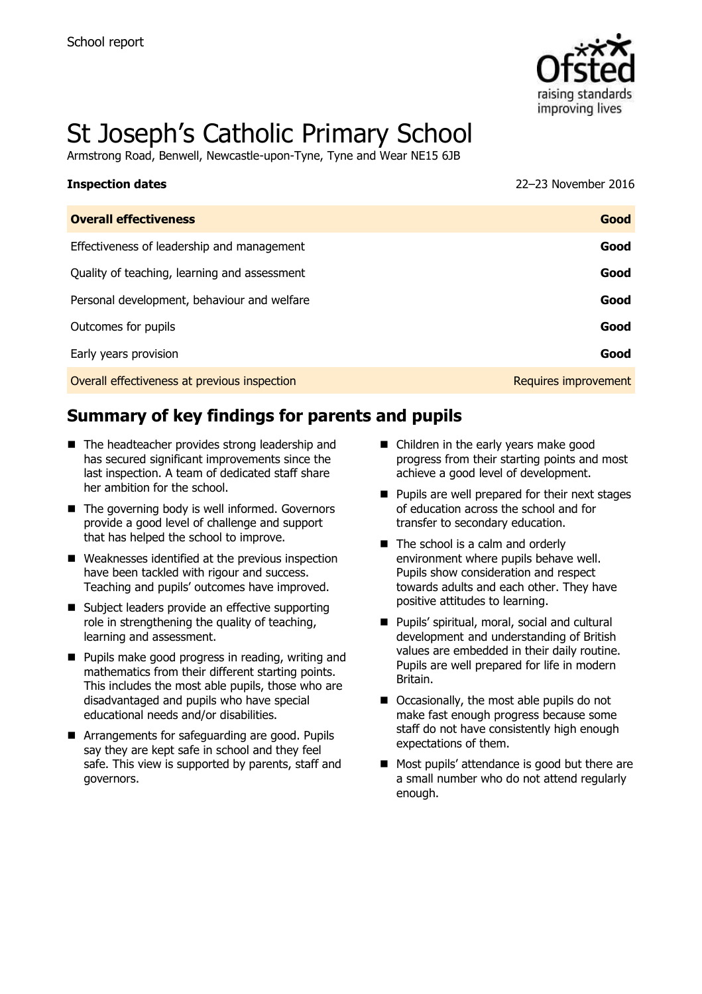

# St Joseph's Catholic Primary School

Armstrong Road, Benwell, Newcastle-upon-Tyne, Tyne and Wear NE15 6JB

| <b>Inspection dates</b>      | 22-23 November 2016 |
|------------------------------|---------------------|
| <b>Overall effectiveness</b> | Good                |

| Overall effectiveness                        | uooa                 |
|----------------------------------------------|----------------------|
| Effectiveness of leadership and management   | Good                 |
| Quality of teaching, learning and assessment | Good                 |
| Personal development, behaviour and welfare  | Good                 |
| Outcomes for pupils                          | Good                 |
| Early years provision                        | Good                 |
| Overall effectiveness at previous inspection | Requires improvement |

# **Summary of key findings for parents and pupils**

- The headteacher provides strong leadership and has secured significant improvements since the last inspection. A team of dedicated staff share her ambition for the school.
- The governing body is well informed. Governors provide a good level of challenge and support that has helped the school to improve.
- Weaknesses identified at the previous inspection have been tackled with rigour and success. Teaching and pupils' outcomes have improved.
- Subject leaders provide an effective supporting role in strengthening the quality of teaching, learning and assessment.
- **Pupils make good progress in reading, writing and** mathematics from their different starting points. This includes the most able pupils, those who are disadvantaged and pupils who have special educational needs and/or disabilities.
- Arrangements for safeguarding are good. Pupils say they are kept safe in school and they feel safe. This view is supported by parents, staff and governors.
- Children in the early years make good progress from their starting points and most achieve a good level of development.
- Pupils are well prepared for their next stages of education across the school and for transfer to secondary education.
- The school is a calm and orderly environment where pupils behave well. Pupils show consideration and respect towards adults and each other. They have positive attitudes to learning.
- Pupils' spiritual, moral, social and cultural development and understanding of British values are embedded in their daily routine. Pupils are well prepared for life in modern Britain.
- Occasionally, the most able pupils do not make fast enough progress because some staff do not have consistently high enough expectations of them.
- Most pupils' attendance is good but there are a small number who do not attend regularly enough.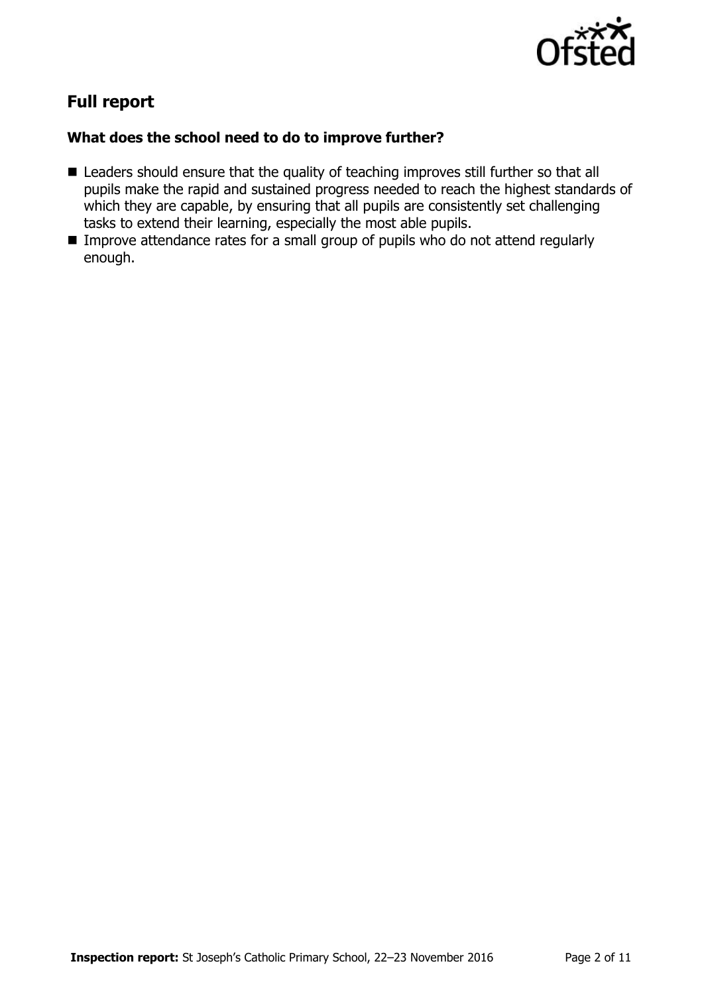

# **Full report**

### **What does the school need to do to improve further?**

- Leaders should ensure that the quality of teaching improves still further so that all pupils make the rapid and sustained progress needed to reach the highest standards of which they are capable, by ensuring that all pupils are consistently set challenging tasks to extend their learning, especially the most able pupils.
- Improve attendance rates for a small group of pupils who do not attend regularly enough.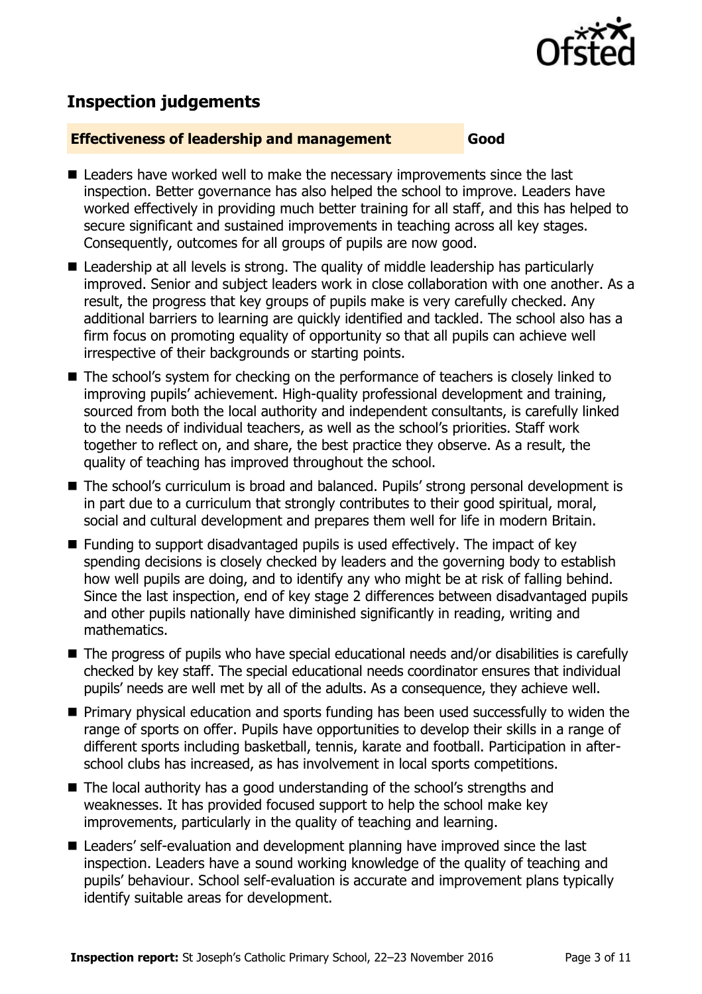

# **Inspection judgements**

#### **Effectiveness of leadership and management Good**

- Leaders have worked well to make the necessary improvements since the last inspection. Better governance has also helped the school to improve. Leaders have worked effectively in providing much better training for all staff, and this has helped to secure significant and sustained improvements in teaching across all key stages. Consequently, outcomes for all groups of pupils are now good.
- Leadership at all levels is strong. The quality of middle leadership has particularly improved. Senior and subject leaders work in close collaboration with one another. As a result, the progress that key groups of pupils make is very carefully checked. Any additional barriers to learning are quickly identified and tackled. The school also has a firm focus on promoting equality of opportunity so that all pupils can achieve well irrespective of their backgrounds or starting points.
- The school's system for checking on the performance of teachers is closely linked to improving pupils' achievement. High-quality professional development and training, sourced from both the local authority and independent consultants, is carefully linked to the needs of individual teachers, as well as the school's priorities. Staff work together to reflect on, and share, the best practice they observe. As a result, the quality of teaching has improved throughout the school.
- The school's curriculum is broad and balanced. Pupils' strong personal development is in part due to a curriculum that strongly contributes to their good spiritual, moral, social and cultural development and prepares them well for life in modern Britain.
- Funding to support disadvantaged pupils is used effectively. The impact of key spending decisions is closely checked by leaders and the governing body to establish how well pupils are doing, and to identify any who might be at risk of falling behind. Since the last inspection, end of key stage 2 differences between disadvantaged pupils and other pupils nationally have diminished significantly in reading, writing and mathematics.
- The progress of pupils who have special educational needs and/or disabilities is carefully checked by key staff. The special educational needs coordinator ensures that individual pupils' needs are well met by all of the adults. As a consequence, they achieve well.
- **Primary physical education and sports funding has been used successfully to widen the** range of sports on offer. Pupils have opportunities to develop their skills in a range of different sports including basketball, tennis, karate and football. Participation in afterschool clubs has increased, as has involvement in local sports competitions.
- The local authority has a good understanding of the school's strengths and weaknesses. It has provided focused support to help the school make key improvements, particularly in the quality of teaching and learning.
- Leaders' self-evaluation and development planning have improved since the last inspection. Leaders have a sound working knowledge of the quality of teaching and pupils' behaviour. School self-evaluation is accurate and improvement plans typically identify suitable areas for development.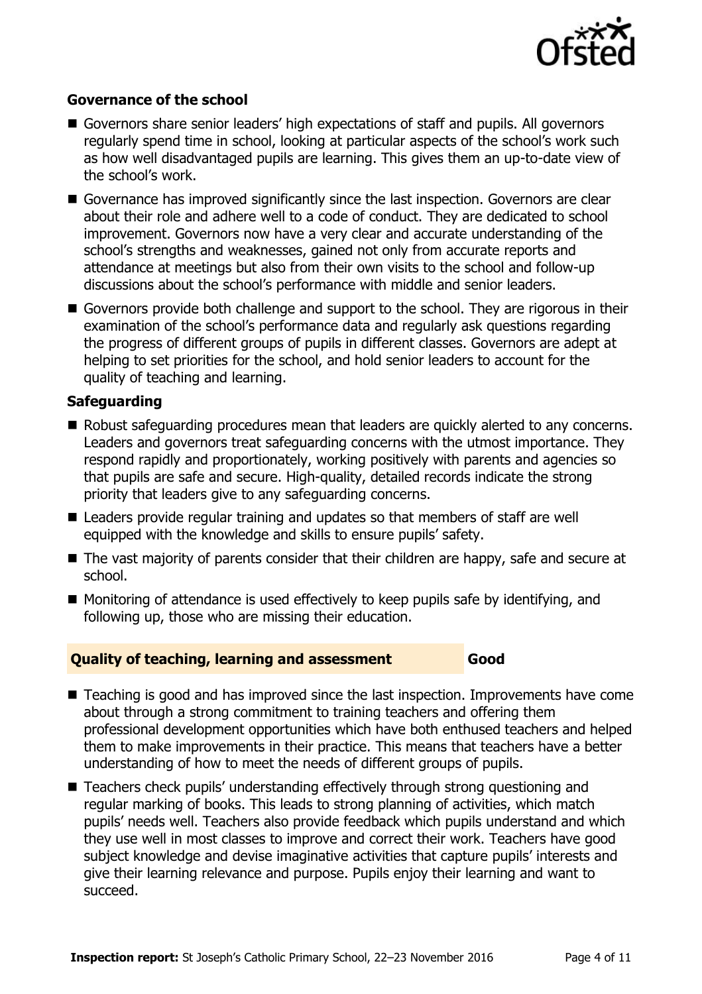

#### **Governance of the school**

- Governors share senior leaders' high expectations of staff and pupils. All governors regularly spend time in school, looking at particular aspects of the school's work such as how well disadvantaged pupils are learning. This gives them an up-to-date view of the school's work.
- Governance has improved significantly since the last inspection. Governors are clear about their role and adhere well to a code of conduct. They are dedicated to school improvement. Governors now have a very clear and accurate understanding of the school's strengths and weaknesses, gained not only from accurate reports and attendance at meetings but also from their own visits to the school and follow-up discussions about the school's performance with middle and senior leaders.
- Governors provide both challenge and support to the school. They are rigorous in their examination of the school's performance data and regularly ask questions regarding the progress of different groups of pupils in different classes. Governors are adept at helping to set priorities for the school, and hold senior leaders to account for the quality of teaching and learning.

#### **Safeguarding**

- Robust safequarding procedures mean that leaders are quickly alerted to any concerns. Leaders and governors treat safeguarding concerns with the utmost importance. They respond rapidly and proportionately, working positively with parents and agencies so that pupils are safe and secure. High-quality, detailed records indicate the strong priority that leaders give to any safeguarding concerns.
- Leaders provide regular training and updates so that members of staff are well equipped with the knowledge and skills to ensure pupils' safety.
- The vast majority of parents consider that their children are happy, safe and secure at school.
- Monitoring of attendance is used effectively to keep pupils safe by identifying, and following up, those who are missing their education.

#### **Quality of teaching, learning and assessment Good**

- Teaching is good and has improved since the last inspection. Improvements have come about through a strong commitment to training teachers and offering them professional development opportunities which have both enthused teachers and helped them to make improvements in their practice. This means that teachers have a better understanding of how to meet the needs of different groups of pupils.
- Teachers check pupils' understanding effectively through strong questioning and regular marking of books. This leads to strong planning of activities, which match pupils' needs well. Teachers also provide feedback which pupils understand and which they use well in most classes to improve and correct their work. Teachers have good subject knowledge and devise imaginative activities that capture pupils' interests and give their learning relevance and purpose. Pupils enjoy their learning and want to succeed.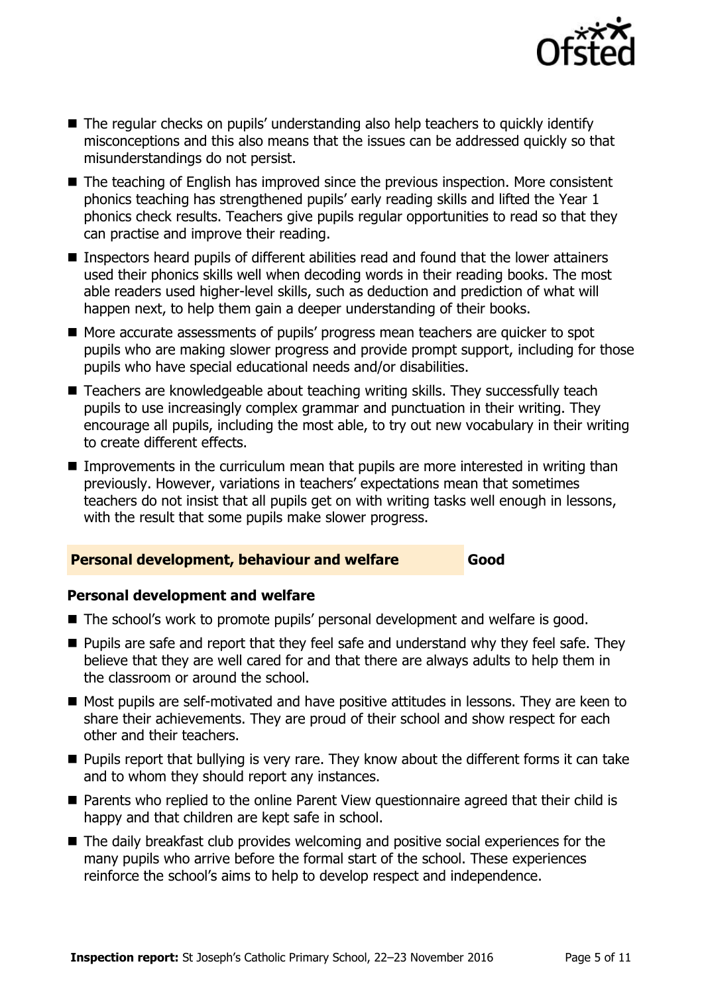

- The regular checks on pupils' understanding also help teachers to quickly identify misconceptions and this also means that the issues can be addressed quickly so that misunderstandings do not persist.
- The teaching of English has improved since the previous inspection. More consistent phonics teaching has strengthened pupils' early reading skills and lifted the Year 1 phonics check results. Teachers give pupils regular opportunities to read so that they can practise and improve their reading.
- Inspectors heard pupils of different abilities read and found that the lower attainers used their phonics skills well when decoding words in their reading books. The most able readers used higher-level skills, such as deduction and prediction of what will happen next, to help them gain a deeper understanding of their books.
- More accurate assessments of pupils' progress mean teachers are quicker to spot pupils who are making slower progress and provide prompt support, including for those pupils who have special educational needs and/or disabilities.
- Teachers are knowledgeable about teaching writing skills. They successfully teach pupils to use increasingly complex grammar and punctuation in their writing. They encourage all pupils, including the most able, to try out new vocabulary in their writing to create different effects.
- **IMProvements in the curriculum mean that pupils are more interested in writing than** previously. However, variations in teachers' expectations mean that sometimes teachers do not insist that all pupils get on with writing tasks well enough in lessons, with the result that some pupils make slower progress.

#### **Personal development, behaviour and welfare Good**

### **Personal development and welfare**

- The school's work to promote pupils' personal development and welfare is good.
- **Pupils are safe and report that they feel safe and understand why they feel safe. They** believe that they are well cared for and that there are always adults to help them in the classroom or around the school.
- Most pupils are self-motivated and have positive attitudes in lessons. They are keen to share their achievements. They are proud of their school and show respect for each other and their teachers.
- **Pupils report that bullying is very rare. They know about the different forms it can take** and to whom they should report any instances.
- Parents who replied to the online Parent View questionnaire agreed that their child is happy and that children are kept safe in school.
- The daily breakfast club provides welcoming and positive social experiences for the many pupils who arrive before the formal start of the school. These experiences reinforce the school's aims to help to develop respect and independence.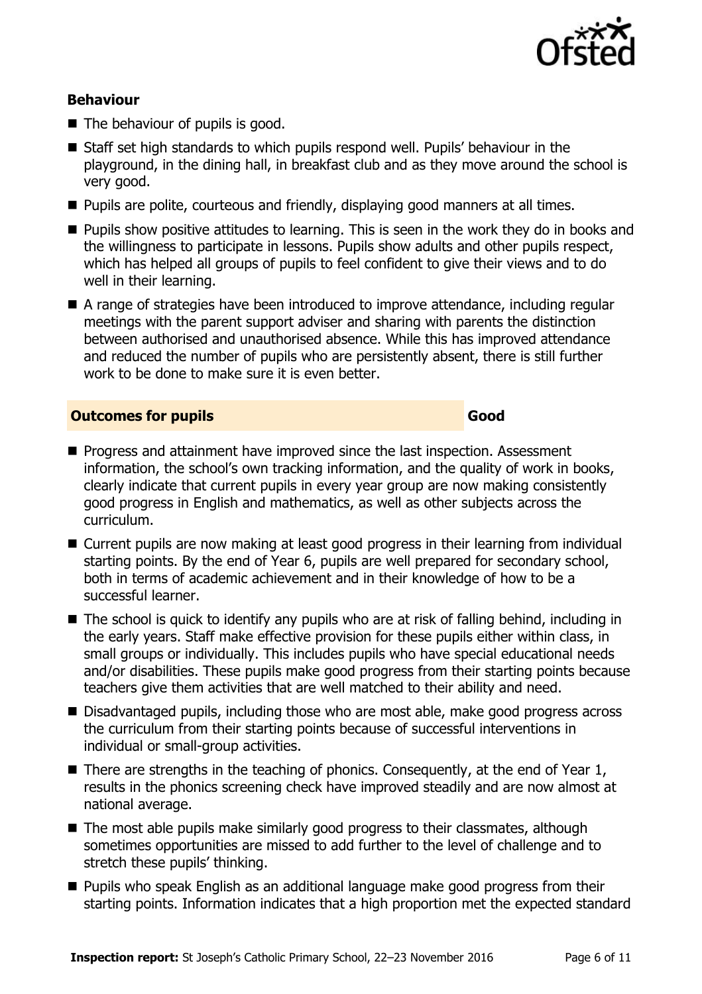

### **Behaviour**

- The behaviour of pupils is good.
- Staff set high standards to which pupils respond well. Pupils' behaviour in the playground, in the dining hall, in breakfast club and as they move around the school is very good.
- **Pupils are polite, courteous and friendly, displaying good manners at all times.**
- **Pupils show positive attitudes to learning. This is seen in the work they do in books and** the willingness to participate in lessons. Pupils show adults and other pupils respect, which has helped all groups of pupils to feel confident to give their views and to do well in their learning.
- A range of strategies have been introduced to improve attendance, including regular meetings with the parent support adviser and sharing with parents the distinction between authorised and unauthorised absence. While this has improved attendance and reduced the number of pupils who are persistently absent, there is still further work to be done to make sure it is even better.

#### **Outcomes for pupils Good Community Community Community Community Community Community Community Community Community**

- **Progress and attainment have improved since the last inspection. Assessment** information, the school's own tracking information, and the quality of work in books, clearly indicate that current pupils in every year group are now making consistently good progress in English and mathematics, as well as other subjects across the curriculum.
- Current pupils are now making at least good progress in their learning from individual starting points. By the end of Year 6, pupils are well prepared for secondary school, both in terms of academic achievement and in their knowledge of how to be a successful learner.
- The school is quick to identify any pupils who are at risk of falling behind, including in the early years. Staff make effective provision for these pupils either within class, in small groups or individually. This includes pupils who have special educational needs and/or disabilities. These pupils make good progress from their starting points because teachers give them activities that are well matched to their ability and need.
- Disadvantaged pupils, including those who are most able, make good progress across the curriculum from their starting points because of successful interventions in individual or small-group activities.
- $\blacksquare$  There are strengths in the teaching of phonics. Consequently, at the end of Year 1, results in the phonics screening check have improved steadily and are now almost at national average.
- The most able pupils make similarly good progress to their classmates, although sometimes opportunities are missed to add further to the level of challenge and to stretch these pupils' thinking.
- **Pupils who speak English as an additional language make good progress from their** starting points. Information indicates that a high proportion met the expected standard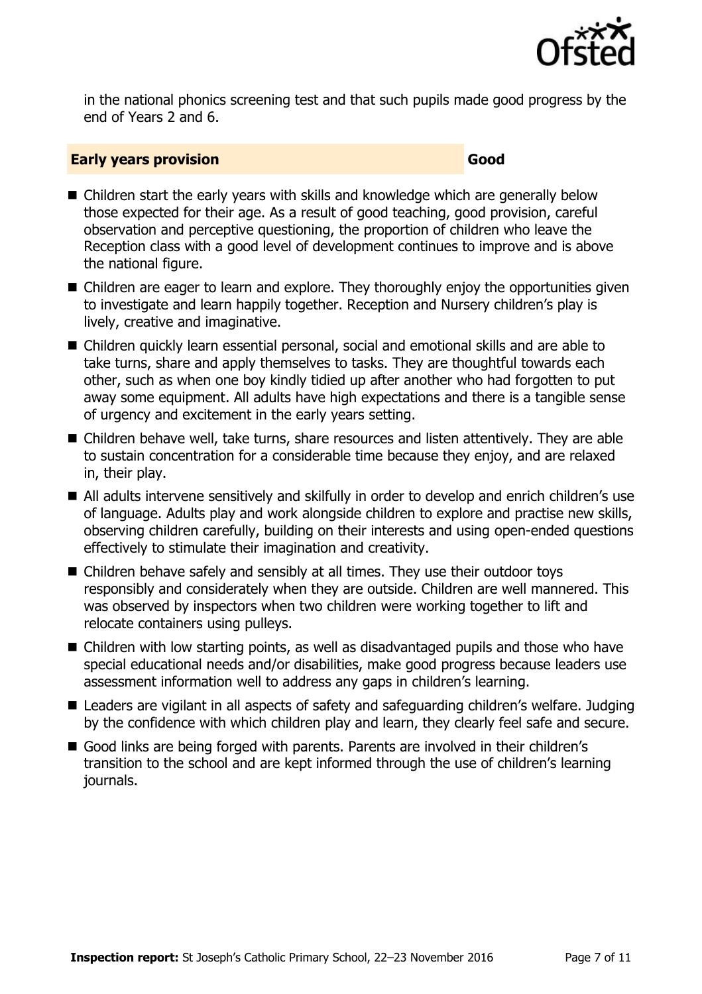

in the national phonics screening test and that such pupils made good progress by the end of Years 2 and 6.

#### **Early years provision Good Good Good**

- Children start the early years with skills and knowledge which are generally below those expected for their age. As a result of good teaching, good provision, careful observation and perceptive questioning, the proportion of children who leave the Reception class with a good level of development continues to improve and is above the national figure.
- Children are eager to learn and explore. They thoroughly enjoy the opportunities given to investigate and learn happily together. Reception and Nursery children's play is lively, creative and imaginative.
- Children quickly learn essential personal, social and emotional skills and are able to take turns, share and apply themselves to tasks. They are thoughtful towards each other, such as when one boy kindly tidied up after another who had forgotten to put away some equipment. All adults have high expectations and there is a tangible sense of urgency and excitement in the early years setting.
- Children behave well, take turns, share resources and listen attentively. They are able to sustain concentration for a considerable time because they enjoy, and are relaxed in, their play.
- All adults intervene sensitively and skilfully in order to develop and enrich children's use of language. Adults play and work alongside children to explore and practise new skills, observing children carefully, building on their interests and using open-ended questions effectively to stimulate their imagination and creativity.
- Children behave safely and sensibly at all times. They use their outdoor toys responsibly and considerately when they are outside. Children are well mannered. This was observed by inspectors when two children were working together to lift and relocate containers using pulleys.
- Children with low starting points, as well as disadvantaged pupils and those who have special educational needs and/or disabilities, make good progress because leaders use assessment information well to address any gaps in children's learning.
- Leaders are vigilant in all aspects of safety and safeguarding children's welfare. Judging by the confidence with which children play and learn, they clearly feel safe and secure.
- Good links are being forged with parents. Parents are involved in their children's transition to the school and are kept informed through the use of children's learning journals.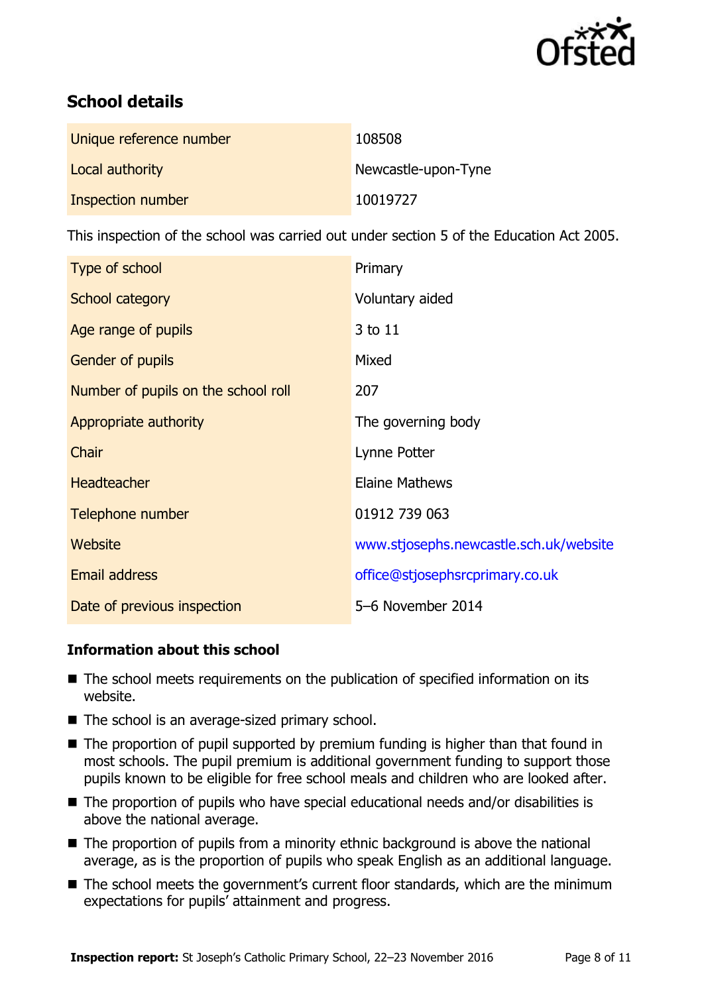

# **School details**

| Unique reference number | 108508              |
|-------------------------|---------------------|
| Local authority         | Newcastle-upon-Tyne |
| Inspection number       | 10019727            |

This inspection of the school was carried out under section 5 of the Education Act 2005.

| Type of school                      | Primary                                |
|-------------------------------------|----------------------------------------|
| School category                     | Voluntary aided                        |
| Age range of pupils                 | 3 to 11                                |
| <b>Gender of pupils</b>             | Mixed                                  |
| Number of pupils on the school roll | 207                                    |
| Appropriate authority               | The governing body                     |
| Chair                               | Lynne Potter                           |
| <b>Headteacher</b>                  | Elaine Mathews                         |
| Telephone number                    | 01912 739 063                          |
| <b>Website</b>                      | www.stjosephs.newcastle.sch.uk/website |
| Email address                       | office@stjosephsrcprimary.co.uk        |
| Date of previous inspection         | 5-6 November 2014                      |

### **Information about this school**

- The school meets requirements on the publication of specified information on its website.
- The school is an average-sized primary school.
- $\blacksquare$  The proportion of pupil supported by premium funding is higher than that found in most schools. The pupil premium is additional government funding to support those pupils known to be eligible for free school meals and children who are looked after.
- The proportion of pupils who have special educational needs and/or disabilities is above the national average.
- $\blacksquare$  The proportion of pupils from a minority ethnic background is above the national average, as is the proportion of pupils who speak English as an additional language.
- The school meets the government's current floor standards, which are the minimum expectations for pupils' attainment and progress.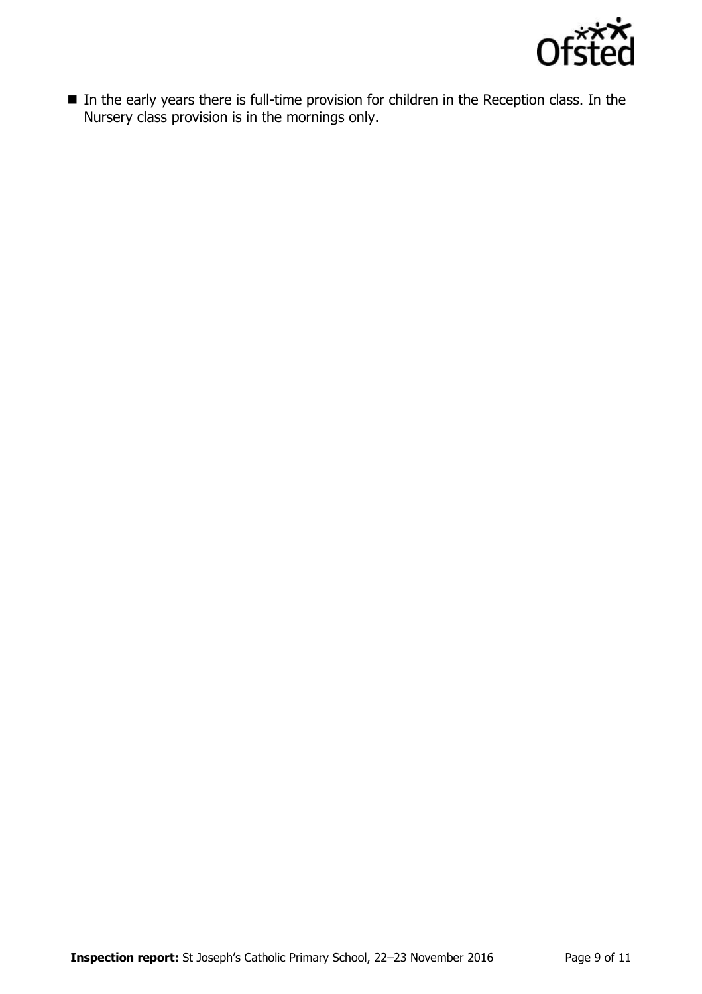

■ In the early years there is full-time provision for children in the Reception class. In the Nursery class provision is in the mornings only.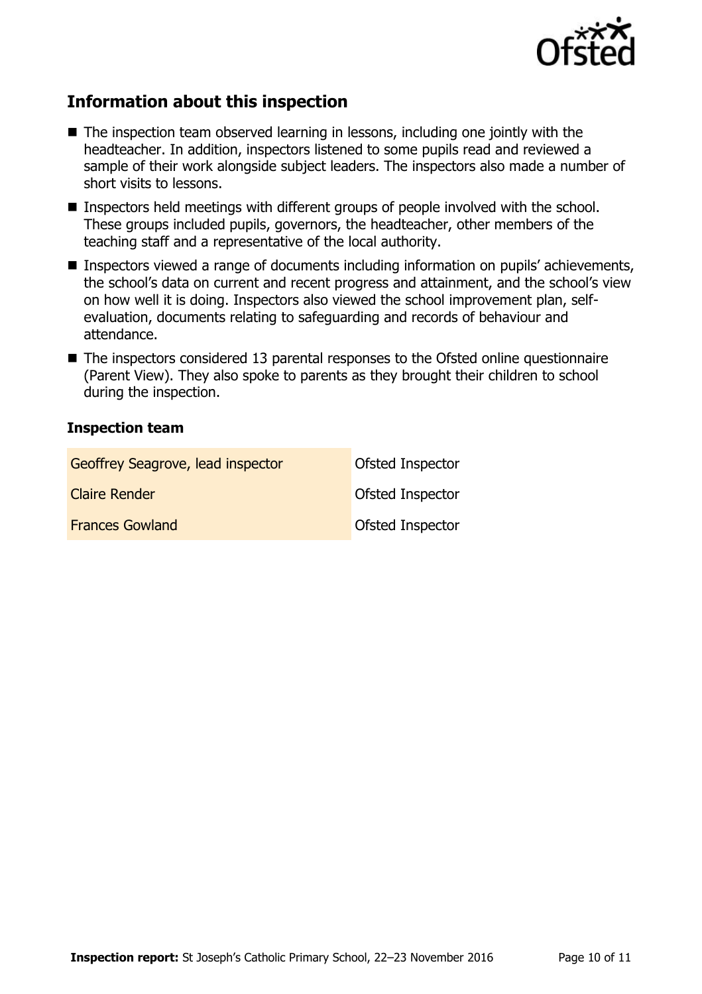

# **Information about this inspection**

- $\blacksquare$  The inspection team observed learning in lessons, including one jointly with the headteacher. In addition, inspectors listened to some pupils read and reviewed a sample of their work alongside subject leaders. The inspectors also made a number of short visits to lessons.
- Inspectors held meetings with different groups of people involved with the school. These groups included pupils, governors, the headteacher, other members of the teaching staff and a representative of the local authority.
- Inspectors viewed a range of documents including information on pupils' achievements, the school's data on current and recent progress and attainment, and the school's view on how well it is doing. Inspectors also viewed the school improvement plan, selfevaluation, documents relating to safeguarding and records of behaviour and attendance.
- The inspectors considered 13 parental responses to the Ofsted online questionnaire (Parent View). They also spoke to parents as they brought their children to school during the inspection.

#### **Inspection team**

| Geoffrey Seagrove, lead inspector | Ofsted Inspector        |
|-----------------------------------|-------------------------|
| <b>Claire Render</b>              | <b>Ofsted Inspector</b> |
| <b>Frances Gowland</b>            | <b>Ofsted Inspector</b> |